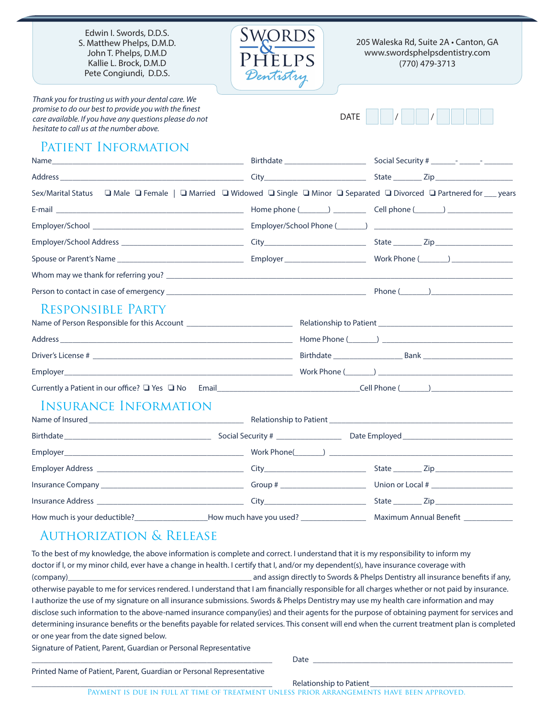Edwin I. Swords, D.D.S. S. Matthew Phelps, D.M.D. John T. Phelps, D.M.D Kallie L. Brock, D.M.D Pete Congiundi, D.D.S.

*Thank you for trusting us with your dental care. We promise to do our best to provide you with the finest care available. If you have any questions please do not hesitate to call us at the number above.*



205 Waleska Rd, Suite 2A • Canton, GA www.swordsphelpsdentistry.com (770) 479-3713



## PATIENT INFORMATION

|                                                                                                     |                                      | Sex/Marital Status<br>G Male <sub>Q</sub> Female    Q Married  Q Widowed  Q Single  Q Minor  Q Separated  Q Divorced  Q Partnered for  years |
|-----------------------------------------------------------------------------------------------------|--------------------------------------|----------------------------------------------------------------------------------------------------------------------------------------------|
|                                                                                                     |                                      |                                                                                                                                              |
|                                                                                                     |                                      |                                                                                                                                              |
|                                                                                                     |                                      |                                                                                                                                              |
|                                                                                                     |                                      |                                                                                                                                              |
|                                                                                                     |                                      |                                                                                                                                              |
|                                                                                                     |                                      |                                                                                                                                              |
| <b>RESPONSIBLE PARTY</b>                                                                            |                                      |                                                                                                                                              |
|                                                                                                     |                                      |                                                                                                                                              |
|                                                                                                     |                                      |                                                                                                                                              |
|                                                                                                     |                                      |                                                                                                                                              |
|                                                                                                     |                                      |                                                                                                                                              |
|                                                                                                     |                                      |                                                                                                                                              |
| <b>INSURANCE INFORMATION</b>                                                                        |                                      |                                                                                                                                              |
|                                                                                                     |                                      |                                                                                                                                              |
|                                                                                                     |                                      |                                                                                                                                              |
|                                                                                                     |                                      |                                                                                                                                              |
|                                                                                                     |                                      |                                                                                                                                              |
|                                                                                                     |                                      |                                                                                                                                              |
| How much is your deductible?_____________________How much have you used? __________________________ | Maximum Annual Benefit _____________ |                                                                                                                                              |

## Authorization & Release

To the best of my knowledge, the above information is complete and correct. I understand that it is my responsibility to inform my doctor if I, or my minor child, ever have a change in health. I certify that I, and/or my dependent(s), have insurance coverage with (company)\_\_\_\_\_\_\_\_\_\_\_\_\_\_\_\_\_\_\_\_\_\_\_\_\_\_\_\_\_\_\_\_\_\_\_\_\_\_\_\_\_\_\_\_\_ and assign directly to Swords & Phelps Dentistry all insurance benefits if any, otherwise payable to me for services rendered. I understand that I am financially responsible for all charges whether or not paid by insurance. I authorize the use of my signature on all insurance submissions. Swords & Phelps Dentistry may use my health care information and may disclose such information to the above-named insurance company(ies) and their agents for the purpose of obtaining payment for services and determining insurance benefits or the benefits payable for related services. This consent will end when the current treatment plan is completed or one year from the date signed below. Signature of Patient, Parent, Guardian or Personal Representative

\_\_\_\_\_\_\_\_\_\_\_\_\_\_\_\_\_\_\_\_\_\_\_\_\_\_\_\_\_\_\_\_\_\_\_\_\_\_\_\_\_\_\_\_\_\_\_\_\_\_\_\_\_\_\_\_\_\_\_ Date \_\_\_\_\_\_\_\_\_\_\_\_\_\_\_\_\_\_\_\_\_\_\_\_\_\_\_\_\_\_\_\_\_\_\_\_\_\_\_\_\_\_\_\_\_\_\_\_\_

Printed Name of Patient, Parent, Guardian or Personal Representative

Relationship to Patient\_